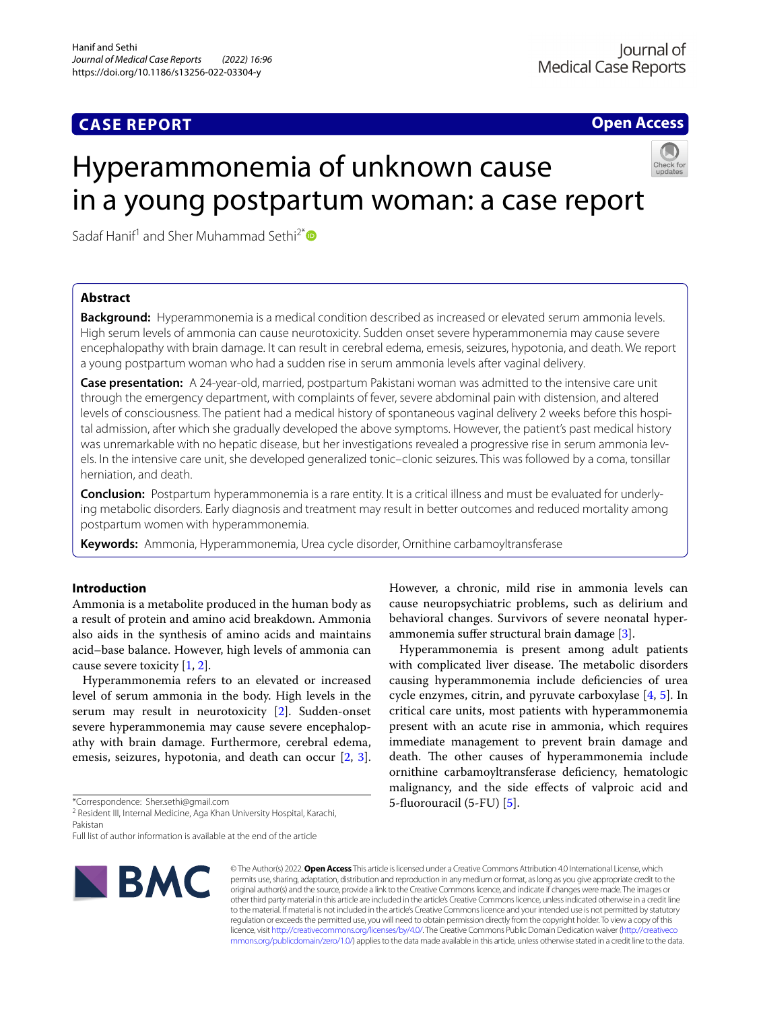# **CASE REPORT**

**Open Access**

# Hyperammonemia of unknown cause in a young postpartum woman: a case report



Sadaf Hanif<sup>1</sup> and Sher Muhammad Sethi<sup>2[\\*](http://orcid.org/0000-0001-7066-7124)</sup>

# **Abstract**

**Background:** Hyperammonemia is a medical condition described as increased or elevated serum ammonia levels. High serum levels of ammonia can cause neurotoxicity. Sudden onset severe hyperammonemia may cause severe encephalopathy with brain damage. It can result in cerebral edema, emesis, seizures, hypotonia, and death. We report a young postpartum woman who had a sudden rise in serum ammonia levels after vaginal delivery.

**Case presentation:** A 24-year-old, married, postpartum Pakistani woman was admitted to the intensive care unit through the emergency department, with complaints of fever, severe abdominal pain with distension, and altered levels of consciousness. The patient had a medical history of spontaneous vaginal delivery 2 weeks before this hospital admission, after which she gradually developed the above symptoms. However, the patient's past medical history was unremarkable with no hepatic disease, but her investigations revealed a progressive rise in serum ammonia levels. In the intensive care unit, she developed generalized tonic–clonic seizures. This was followed by a coma, tonsillar herniation, and death.

**Conclusion:** Postpartum hyperammonemia is a rare entity. It is a critical illness and must be evaluated for underlying metabolic disorders. Early diagnosis and treatment may result in better outcomes and reduced mortality among postpartum women with hyperammonemia.

**Keywords:** Ammonia, Hyperammonemia, Urea cycle disorder, Ornithine carbamoyltransferase

# **Introduction**

Ammonia is a metabolite produced in the human body as a result of protein and amino acid breakdown. Ammonia also aids in the synthesis of amino acids and maintains acid–base balance. However, high levels of ammonia can cause severe toxicity [\[1](#page-3-0), [2\]](#page-3-1).

Hyperammonemia refers to an elevated or increased level of serum ammonia in the body. High levels in the serum may result in neurotoxicity [[2\]](#page-3-1). Sudden-onset severe hyperammonemia may cause severe encephalopathy with brain damage. Furthermore, cerebral edema, emesis, seizures, hypotonia, and death can occur [\[2](#page-3-1), [3](#page-3-2)].

\*Correspondence: Sher.sethi@gmail.com

<sup>2</sup> Resident III, Internal Medicine, Aga Khan University Hospital, Karachi, Pakistan

Full list of author information is available at the end of the article



However, a chronic, mild rise in ammonia levels can cause neuropsychiatric problems, such as delirium and behavioral changes. Survivors of severe neonatal hyperammonemia sufer structural brain damage [[3\]](#page-3-2).

Hyperammonemia is present among adult patients with complicated liver disease. The metabolic disorders causing hyperammonemia include defciencies of urea cycle enzymes, citrin, and pyruvate carboxylase [[4,](#page-3-3) [5\]](#page-3-4). In critical care units, most patients with hyperammonemia present with an acute rise in ammonia, which requires immediate management to prevent brain damage and death. The other causes of hyperammonemia include ornithine carbamoyltransferase defciency, hematologic malignancy, and the side efects of valproic acid and 5-fuorouracil (5-FU) [[5\]](#page-3-4).

© The Author(s) 2022. **Open Access** This article is licensed under a Creative Commons Attribution 4.0 International License, which permits use, sharing, adaptation, distribution and reproduction in any medium or format, as long as you give appropriate credit to the original author(s) and the source, provide a link to the Creative Commons licence, and indicate if changes were made. The images or other third party material in this article are included in the article's Creative Commons licence, unless indicated otherwise in a credit line to the material. If material is not included in the article's Creative Commons licence and your intended use is not permitted by statutory regulation or exceeds the permitted use, you will need to obtain permission directly from the copyright holder. To view a copy of this licence, visit [http://creativecommons.org/licenses/by/4.0/.](http://creativecommons.org/licenses/by/4.0/) The Creative Commons Public Domain Dedication waiver ([http://creativeco](http://creativecommons.org/publicdomain/zero/1.0/) [mmons.org/publicdomain/zero/1.0/](http://creativecommons.org/publicdomain/zero/1.0/)) applies to the data made available in this article, unless otherwise stated in a credit line to the data.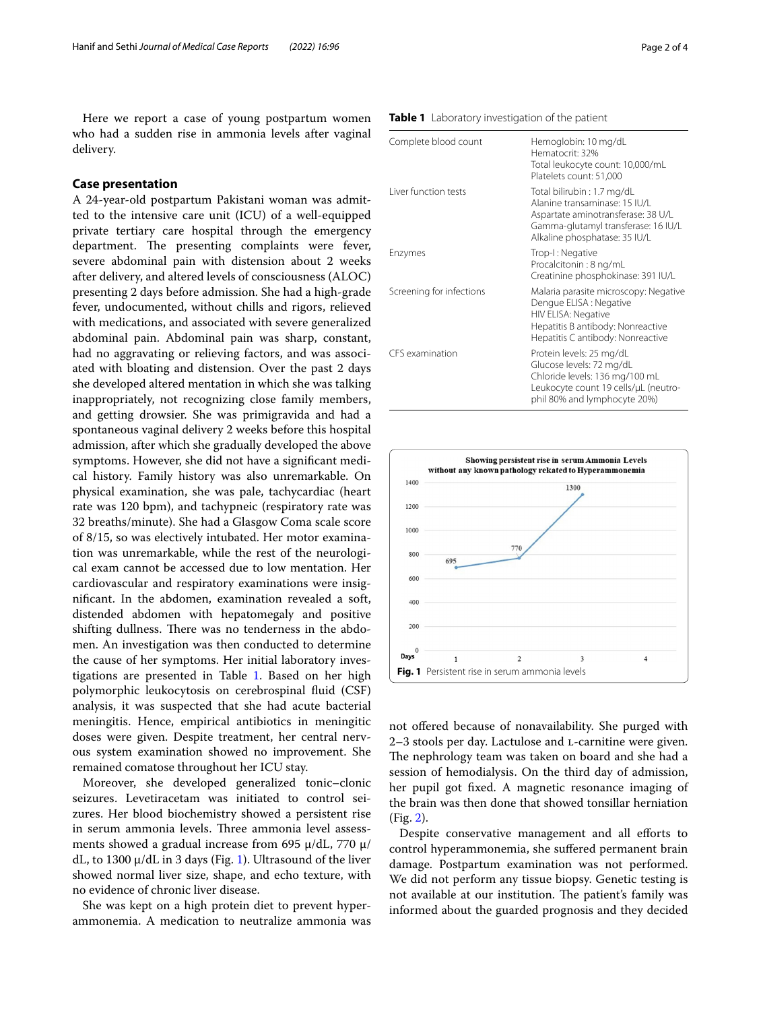Here we report a case of young postpartum women who had a sudden rise in ammonia levels after vaginal delivery.

## **Case presentation**

A 24-year-old postpartum Pakistani woman was admitted to the intensive care unit (ICU) of a well-equipped private tertiary care hospital through the emergency department. The presenting complaints were fever, severe abdominal pain with distension about 2 weeks after delivery, and altered levels of consciousness (ALOC) presenting 2 days before admission. She had a high-grade fever, undocumented, without chills and rigors, relieved with medications, and associated with severe generalized abdominal pain. Abdominal pain was sharp, constant, had no aggravating or relieving factors, and was associated with bloating and distension. Over the past 2 days she developed altered mentation in which she was talking inappropriately, not recognizing close family members, and getting drowsier. She was primigravida and had a spontaneous vaginal delivery 2 weeks before this hospital admission, after which she gradually developed the above symptoms. However, she did not have a signifcant medical history. Family history was also unremarkable. On physical examination, she was pale, tachycardiac (heart rate was 120 bpm), and tachypneic (respiratory rate was 32 breaths/minute). She had a Glasgow Coma scale score of 8/15, so was electively intubated. Her motor examination was unremarkable, while the rest of the neurological exam cannot be accessed due to low mentation. Her cardiovascular and respiratory examinations were insignifcant. In the abdomen, examination revealed a soft, distended abdomen with hepatomegaly and positive shifting dullness. There was no tenderness in the abdomen. An investigation was then conducted to determine the cause of her symptoms. Her initial laboratory investigations are presented in Table [1](#page-1-0). Based on her high polymorphic leukocytosis on cerebrospinal fuid (CSF) analysis, it was suspected that she had acute bacterial meningitis. Hence, empirical antibiotics in meningitic doses were given. Despite treatment, her central nervous system examination showed no improvement. She remained comatose throughout her ICU stay.

Moreover, she developed generalized tonic–clonic seizures. Levetiracetam was initiated to control seizures. Her blood biochemistry showed a persistent rise in serum ammonia levels. Three ammonia level assessments showed a gradual increase from 695  $\mu$ /dL, 770  $\mu$ / dL, to [1](#page-1-1)300  $\mu$ /dL in 3 days (Fig. 1). Ultrasound of the liver showed normal liver size, shape, and echo texture, with no evidence of chronic liver disease.

She was kept on a high protein diet to prevent hyperammonemia. A medication to neutralize ammonia was

#### <span id="page-1-0"></span>**Table 1** Laboratory investigation of the patient

| Complete blood count     | Hemoglobin: 10 mg/dL<br>Hematocrit: 32%<br>Total leukocyte count: 10,000/mL<br>Platelets count: 51,000                                                                    |
|--------------------------|---------------------------------------------------------------------------------------------------------------------------------------------------------------------------|
| Liver function tests     | Total bilirubin: 1.7 mg/dL<br>Alanine transaminase: 15 IU/L<br>Aspartate aminotransferase: 38 U/L<br>Gamma-glutamyl transferase: 16 IU/L<br>Alkaline phosphatase: 35 IU/L |
| Enzymes                  | Trop-I: Negative<br>Procalcitonin: 8 ng/mL<br>Creatinine phosphokinase: 391 IU/L                                                                                          |
| Screening for infections | Malaria parasite microscopy: Negative<br>Dengue ELISA : Negative<br>HIV ELISA: Negative<br>Hepatitis B antibody: Nonreactive<br>Hepatitis C antibody: Nonreactive         |
| CFS examination          | Protein levels: 25 mg/dL<br>Glucose levels: 72 mg/dL<br>Chloride levels: 136 mg/100 mL<br>Leukocyte count 19 cells/µL (neutro-<br>phil 80% and lymphocyte 20%)            |



<span id="page-1-1"></span>not ofered because of nonavailability. She purged with 2–3 stools per day. Lactulose and l-carnitine were given. The nephrology team was taken on board and she had a session of hemodialysis. On the third day of admission, her pupil got fxed. A magnetic resonance imaging of the brain was then done that showed tonsillar herniation (Fig. [2\)](#page-2-0).

Despite conservative management and all efforts to control hyperammonemia, she sufered permanent brain damage. Postpartum examination was not performed. We did not perform any tissue biopsy. Genetic testing is not available at our institution. The patient's family was informed about the guarded prognosis and they decided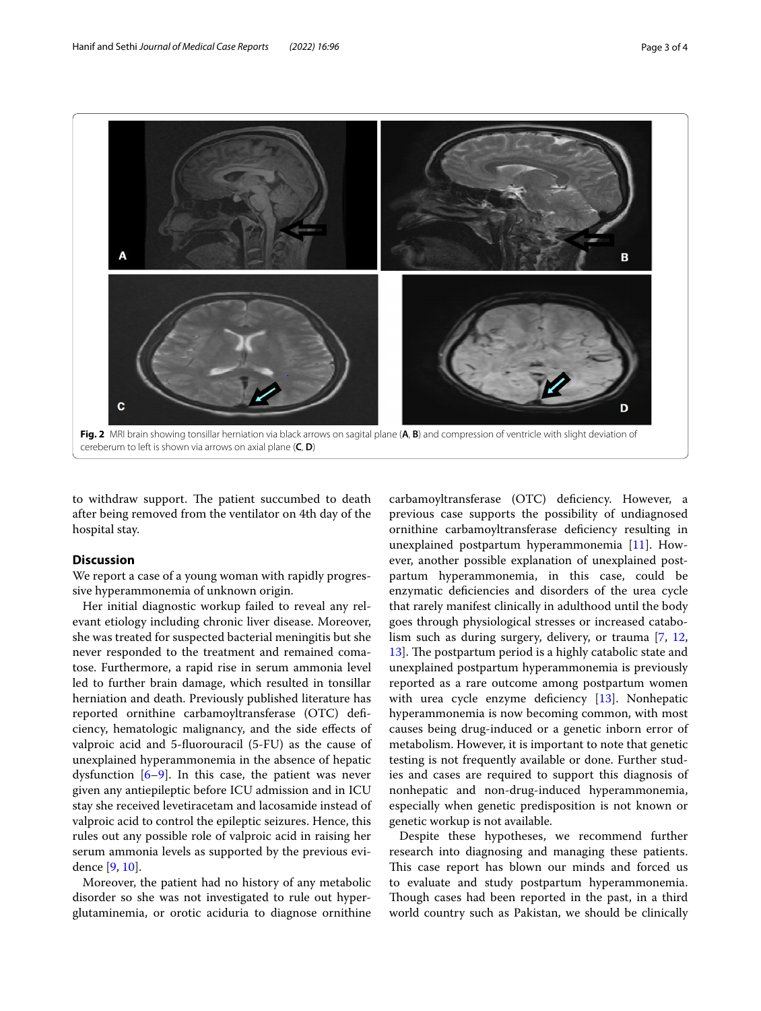

<span id="page-2-0"></span>to withdraw support. The patient succumbed to death after being removed from the ventilator on 4th day of the hospital stay.

# **Discussion**

We report a case of a young woman with rapidly progressive hyperammonemia of unknown origin.

Her initial diagnostic workup failed to reveal any relevant etiology including chronic liver disease. Moreover, she was treated for suspected bacterial meningitis but she never responded to the treatment and remained comatose. Furthermore, a rapid rise in serum ammonia level led to further brain damage, which resulted in tonsillar herniation and death. Previously published literature has reported ornithine carbamoyltransferase (OTC) defciency, hematologic malignancy, and the side efects of valproic acid and 5-fuorouracil (5-FU) as the cause of unexplained hyperammonemia in the absence of hepatic dysfunction  $[6-9]$  $[6-9]$ . In this case, the patient was never given any antiepileptic before ICU admission and in ICU stay she received levetiracetam and lacosamide instead of valproic acid to control the epileptic seizures. Hence, this rules out any possible role of valproic acid in raising her serum ammonia levels as supported by the previous evidence [\[9](#page-3-6), [10](#page-3-7)].

Moreover, the patient had no history of any metabolic disorder so she was not investigated to rule out hyperglutaminemia, or orotic aciduria to diagnose ornithine

carbamoyltransferase (OTC) defciency. However, a previous case supports the possibility of undiagnosed ornithine carbamoyltransferase defciency resulting in unexplained postpartum hyperammonemia [\[11](#page-3-8)]. However, another possible explanation of unexplained postpartum hyperammonemia, in this case, could be enzymatic defciencies and disorders of the urea cycle that rarely manifest clinically in adulthood until the body goes through physiological stresses or increased catabolism such as during surgery, delivery, or trauma [\[7](#page-3-9), [12](#page-3-10), 13. The postpartum period is a highly catabolic state and unexplained postpartum hyperammonemia is previously reported as a rare outcome among postpartum women with urea cycle enzyme deficiency [\[13\]](#page-3-11). Nonhepatic hyperammonemia is now becoming common, with most causes being drug-induced or a genetic inborn error of metabolism. However, it is important to note that genetic testing is not frequently available or done. Further studies and cases are required to support this diagnosis of nonhepatic and non-drug-induced hyperammonemia, especially when genetic predisposition is not known or genetic workup is not available.

Despite these hypotheses, we recommend further research into diagnosing and managing these patients. This case report has blown our minds and forced us to evaluate and study postpartum hyperammonemia. Though cases had been reported in the past, in a third world country such as Pakistan, we should be clinically